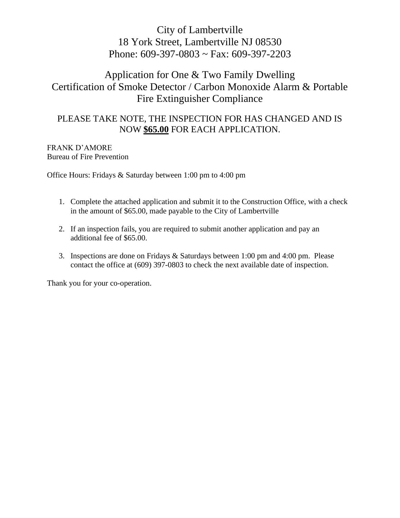# City of Lambertville 18 York Street, Lambertville NJ 08530 Phone: 609-397-0803 ~ Fax: 609-397-2203

# Application for One & Two Family Dwelling Certification of Smoke Detector / Carbon Monoxide Alarm & Portable Fire Extinguisher Compliance

#### PLEASE TAKE NOTE, THE INSPECTION FOR HAS CHANGED AND IS NOW **\$65.00** FOR EACH APPLICATION.

#### FRANK D'AMORE Bureau of Fire Prevention

Office Hours: Fridays & Saturday between 1:00 pm to 4:00 pm

- 1. Complete the attached application and submit it to the Construction Office, with a check in the amount of \$65.00, made payable to the City of Lambertville
- 2. If an inspection fails, you are required to submit another application and pay an additional fee of \$65.00.
- 3. Inspections are done on Fridays & Saturdays between 1:00 pm and 4:00 pm. Please contact the office at (609) 397-0803 to check the next available date of inspection.

Thank you for your co-operation.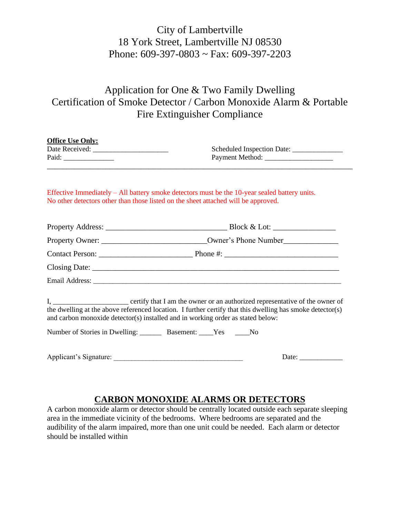# City of Lambertville 18 York Street, Lambertville NJ 08530 Phone: 609-397-0803 ~ Fax: 609-397-2203

# Application for One & Two Family Dwelling Certification of Smoke Detector / Carbon Monoxide Alarm & Portable Fire Extinguisher Compliance

| <b>Office Use Only:</b>                                               | Scheduled Inspection Date: ________________                                                                                                                                                  |
|-----------------------------------------------------------------------|----------------------------------------------------------------------------------------------------------------------------------------------------------------------------------------------|
| <u> 1989 - Johann Stoff, amerikansk politiker (* 1908)</u>            | Effective Immediately $-$ All battery smoke detectors must be the 10-year sealed battery units.<br>No other detectors other than those listed on the sheet attached will be approved.        |
|                                                                       |                                                                                                                                                                                              |
|                                                                       | Property Owner: __________________________________Owner's Phone Number______________________________                                                                                         |
|                                                                       |                                                                                                                                                                                              |
|                                                                       |                                                                                                                                                                                              |
|                                                                       |                                                                                                                                                                                              |
|                                                                       | the dwelling at the above referenced location. I further certify that this dwelling has smoke detector(s)<br>and carbon monoxide detector(s) installed and in working order as stated below: |
| Number of Stories in Dwelling: __________ Basement: _____Yes ______No |                                                                                                                                                                                              |

| Applicant's Signature: | Jate |
|------------------------|------|
|------------------------|------|

#### **CARBON MONOXIDE ALARMS OR DETECTORS**

A carbon monoxide alarm or detector should be centrally located outside each separate sleeping area in the immediate vicinity of the bedrooms. Where bedrooms are separated and the audibility of the alarm impaired, more than one unit could be needed. Each alarm or detector should be installed within